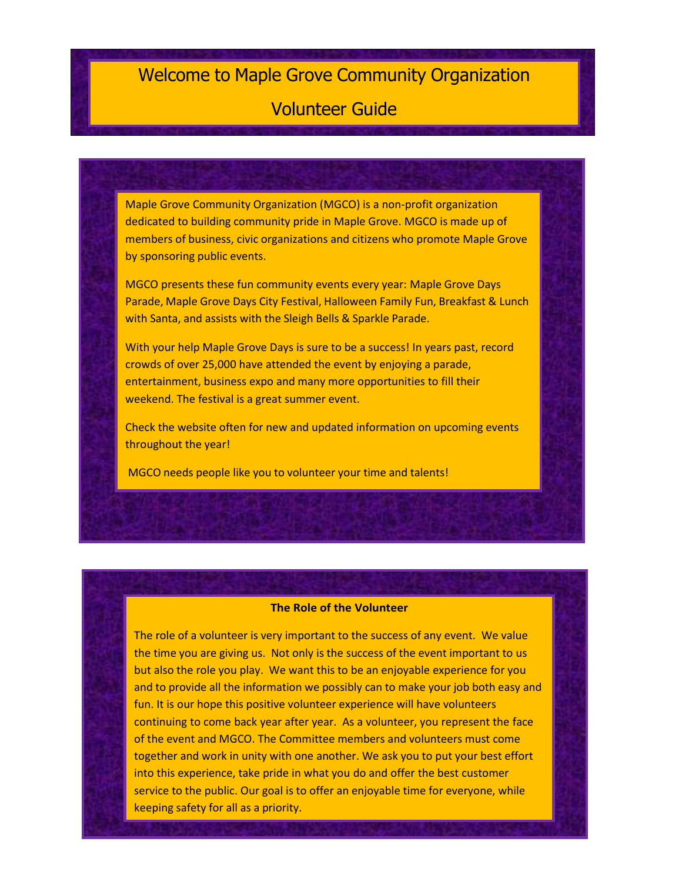# Welcome to Maple Grove Community Organization

# Volunteer Guide

Maple Grove Community Organization (MGCO) is a non-profit organization dedicated to building community pride in Maple Grove. MGCO is made up of members of business, civic organizations and citizens who promote Maple Grove by sponsoring public events.

MGCO presents these fun community events every year: Maple Grove Days Parade, Maple Grove Days City Festival, Halloween Family Fun, Breakfast & Lunch with Santa, and assists with the Sleigh Bells & Sparkle Parade.

With your help Maple Grove Days is sure to be a success! In years past, record crowds of over 25,000 have attended the event by enjoying a parade, entertainment, business expo and many more opportunities to fill their weekend. The festival is a great summer event.

Check the website often for new and updated information on upcoming events throughout the year!

MGCO needs people like you to volunteer your time and talents!

#### **The Role of the Volunteer**

The role of a volunteer is very important to the success of any event. We value the time you are giving us. Not only is the success of the event important to us but also the role you play. We want this to be an enjoyable experience for you and to provide all the information we possibly can to make your job both easy and fun. It is our hope this positive volunteer experience will have volunteers continuing to come back year after year. As a volunteer, you represent the face of the event and MGCO. The Committee members and volunteers must come together and work in unity with one another. We ask you to put your best effort into this experience, take pride in what you do and offer the best customer service to the public. Our goal is to offer an enjoyable time for everyone, while keeping safety for all as a priority.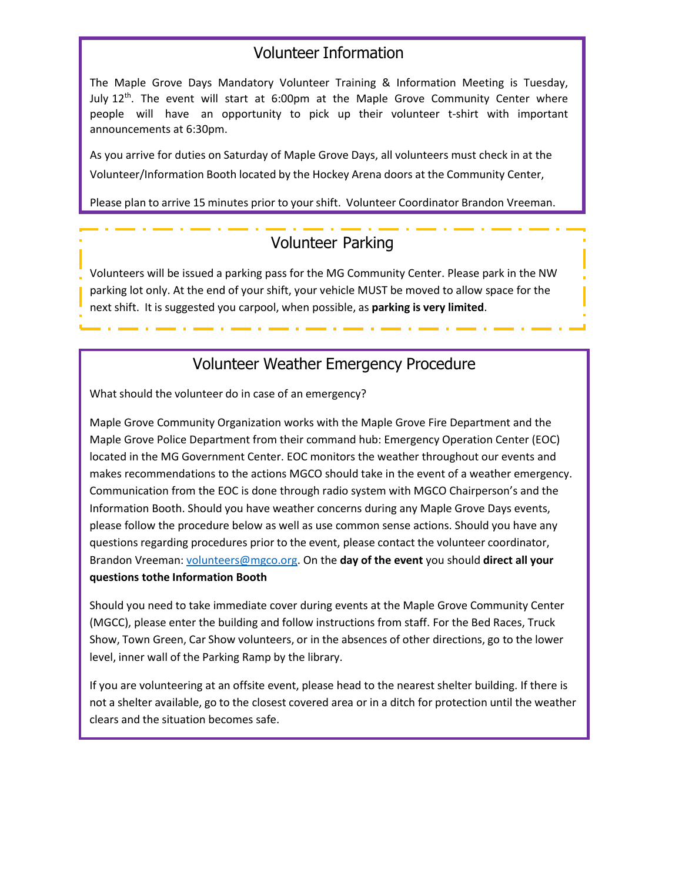### Volunteer Information

The Maple Grove Days Mandatory Volunteer Training & Information Meeting is Tuesday, July 12<sup>th</sup>. The event will start at 6:00pm at the Maple Grove Community Center where people will have an opportunity to pick up their volunteer t-shirt with important announcements at 6:30pm.

As you arrive for duties on Saturday of Maple Grove Days, all volunteers must check in at the Volunteer/Information Booth located by the Hockey Arena doors at the Community Center,

Please plan to arrive 15 minutes prior to your shift. Volunteer Coordinator Brandon Vreeman.

## Volunteer Parking

Volunteers will be issued a parking pass for the MG Community Center. Please park in the NW parking lot only. At the end of your shift, your vehicle MUST be moved to allow space for the next shift. It is suggested you carpool, when possible, as **parking is very limited**.

## Volunteer Weather Emergency Procedure

What should the volunteer do in case of an emergency?

Maple Grove Community Organization works with the Maple Grove Fire Department and the Maple Grove Police Department from their command hub: Emergency Operation Center (EOC) located in the MG Government Center. EOC monitors the weather throughout our events and makes recommendations to the actions MGCO should take in the event of a weather emergency. Communication from the EOC is done through radio system with MGCO Chairperson's and the Information Booth. Should you have weather concerns during any Maple Grove Days events, please follow the procedure below as well as use common sense actions. Should you have any questions regarding procedures prior to the event, please contact the volunteer coordinator, Brandon Vreeman: [volunteers@mgco.org.](mailto:volunteers@mgco.org) On the **day of the event** you should **direct all your questions tothe Information Booth**

Should you need to take immediate cover during events at the Maple Grove Community Center (MGCC), please enter the building and follow instructions from staff. For the Bed Races, Truck Show, Town Green, Car Show volunteers, or in the absences of other directions, go to the lower level, inner wall of the Parking Ramp by the library.

If you are volunteering at an offsite event, please head to the nearest shelter building. If there is not a shelter available, go to the closest covered area or in a ditch for protection until the weather clears and the situation becomes safe.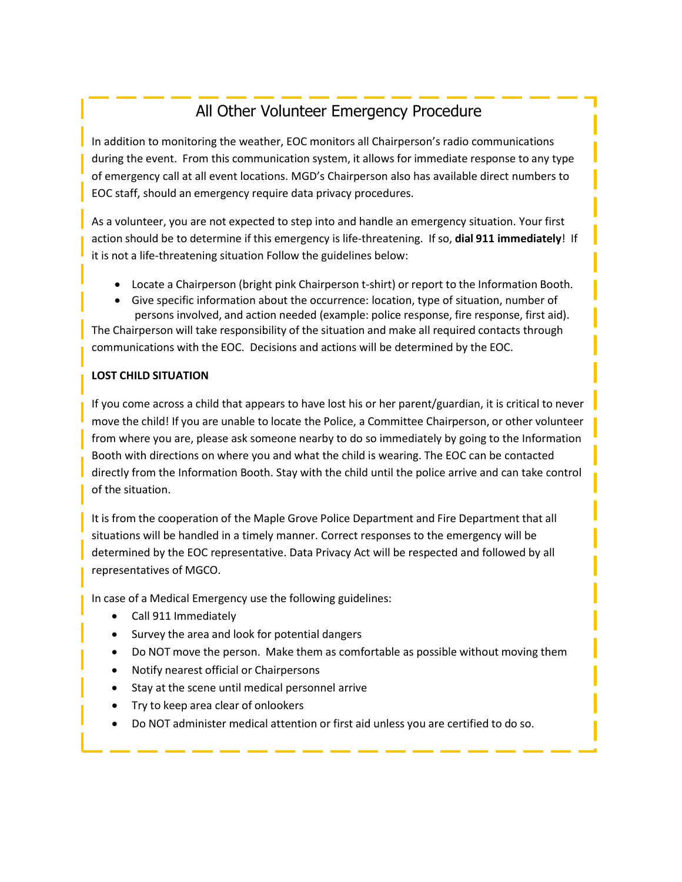# All Other Volunteer Emergency Procedure

In addition to monitoring the weather, EOC monitors all Chairperson's radio communications during the event. From this communication system, it allows for immediate response to any type of emergency call at all event locations. MGD's Chairperson also has available direct numbers to EOC staff, should an emergency require data privacy procedures.

As a volunteer, you are not expected to step into and handle an emergency situation. Your first action should be to determine if this emergency is life-threatening. If so, **dial 911 immediately**! If it is not a life-threatening situation Follow the guidelines below:

- Locate a Chairperson (bright pink Chairperson t-shirt) or report to the Information Booth.
- Give specific information about the occurrence: location, type of situation, number of persons involved, and action needed (example: police response, fire response, first aid).

The Chairperson will take responsibility of the situation and make all required contacts through communications with the EOC. Decisions and actions will be determined by the EOC.

### **LOST CHILD SITUATION**

If you come across a child that appears to have lost his or her parent/guardian, it is critical to never move the child! If you are unable to locate the Police, a Committee Chairperson, or other volunteer from where you are, please ask someone nearby to do so immediately by going to the Information Booth with directions on where you and what the child is wearing. The EOC can be contacted directly from the Information Booth. Stay with the child until the police arrive and can take control of the situation.

It is from the cooperation of the Maple Grove Police Department and Fire Department that all situations will be handled in a timely manner. Correct responses to the emergency will be determined by the EOC representative. Data Privacy Act will be respected and followed by all representatives of MGCO.

In case of a Medical Emergency use the following guidelines:

- Call 911 Immediately
- Survey the area and look for potential dangers
- Do NOT move the person. Make them as comfortable as possible without moving them
- Notify nearest official or Chairpersons
- Stay at the scene until medical personnel arrive
- Try to keep area clear of onlookers
- Do NOT administer medical attention or first aid unless you are certified to do so.